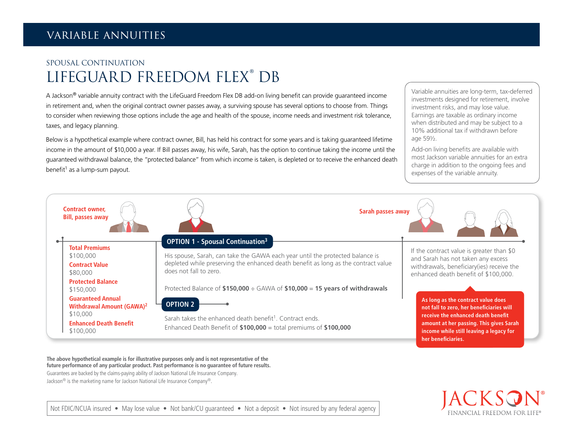## SPOUSAL CONTINUATION LIFEGUARD FREEDOM FLEX® DB

A Jackson® variable annuity contract with the LifeGuard Freedom Flex DB add-on living benefit can provide guaranteed income in retirement and, when the original contract owner passes away, a surviving spouse has several options to choose from. Things to consider when reviewing those options include the age and health of the spouse, income needs and investment risk tolerance, taxes, and legacy planning.

Below is a hypothetical example where contract owner, Bill, has held his contract for some years and is taking guaranteed lifetime income in the amount of \$10,000 a year. If Bill passes away, his wife, Sarah, has the option to continue taking the income until the guaranteed withdrawal balance, the "protected balance" from which income is taken, is depleted or to receive the enhanced death benefit $1$  as a lump-sum payout.

Variable annuities are long-term, tax-deferred investments designed for retirement, involve investment risks, and may lose value. Earnings are taxable as ordinary income when distributed and may be subject to a 10% additional tax if withdrawn before age 59½.

Add-on living benefits are available with most Jackson variable annuities for an extra charge in addition to the ongoing fees and expenses of the variable annuity.



**The above hypothetical example is for illustrative purposes only and is not representative of the future performance of any particular product. Past performance is no guarantee of future results.** Guarantees are backed by the claims-paying ability of Jackson National Life Insurance Company.

Jackson® is the marketing name for Jackson National Life Insurance Company®.



Not FDIC/NCUA insured • May lose value • Not bank/CU quaranteed • Not a deposit • Not insured by any federal agency